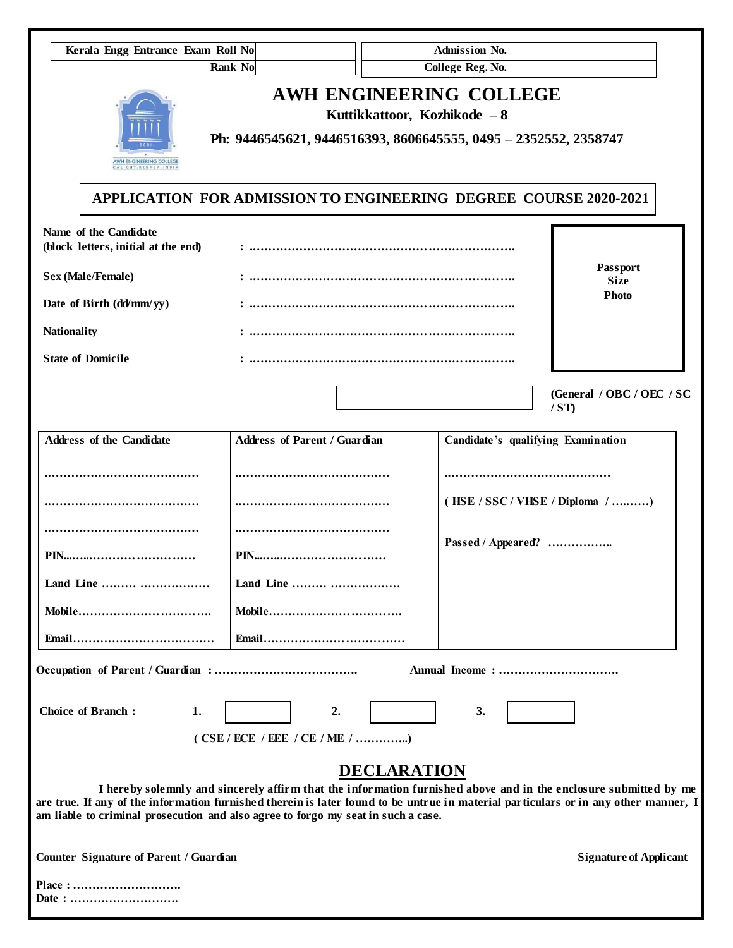| Kerala Engg Entrance Exam Roll No                                                                                                                                                                                        |                                                                 |                                                         | <b>Admission No.</b>    |                                                                                                                  |
|--------------------------------------------------------------------------------------------------------------------------------------------------------------------------------------------------------------------------|-----------------------------------------------------------------|---------------------------------------------------------|-------------------------|------------------------------------------------------------------------------------------------------------------|
| <b>Rank No</b>                                                                                                                                                                                                           |                                                                 |                                                         | <b>College Reg. No.</b> |                                                                                                                  |
| AWH ENGINEERING COLLEGE<br>ALICUT-KERALA-IND                                                                                                                                                                             | Ph: 9446545621, 9446516393, 8606645555, 0495 - 2352552, 2358747 | AWH ENGINEERING COLLEGE<br>Kuttikkattoor, Kozhikode - 8 |                         |                                                                                                                  |
| <b>APPLICATION FOR ADMISSION TO ENGINEERING DEGREE COURSE 2020-2021</b>                                                                                                                                                  |                                                                 |                                                         |                         |                                                                                                                  |
| Name of the Candidate<br>(block letters, initial at the end)                                                                                                                                                             |                                                                 |                                                         |                         |                                                                                                                  |
| Sex (Male/Female)                                                                                                                                                                                                        | <b>Size</b>                                                     |                                                         |                         | Passport                                                                                                         |
| Date of Birth (dd/mm/yy)                                                                                                                                                                                                 |                                                                 |                                                         |                         | <b>Photo</b>                                                                                                     |
| <b>Nationality</b>                                                                                                                                                                                                       |                                                                 |                                                         |                         |                                                                                                                  |
| <b>State of Domicile</b>                                                                                                                                                                                                 |                                                                 |                                                         |                         |                                                                                                                  |
|                                                                                                                                                                                                                          |                                                                 |                                                         |                         | (General / OBC / OEC / SC<br>/ST                                                                                 |
| <b>Address of the Candidate</b>                                                                                                                                                                                          | <b>Address of Parent / Guardian</b>                             |                                                         |                         | Candidate's qualifying Examination                                                                               |
|                                                                                                                                                                                                                          |                                                                 |                                                         |                         |                                                                                                                  |
|                                                                                                                                                                                                                          |                                                                 |                                                         |                         | (HSE / SSC / VHSE / Diploma / )                                                                                  |
|                                                                                                                                                                                                                          |                                                                 |                                                         |                         |                                                                                                                  |
|                                                                                                                                                                                                                          |                                                                 |                                                         | Passed / Appeared?      |                                                                                                                  |
| Land Line                                                                                                                                                                                                                | Land Line                                                       |                                                         |                         |                                                                                                                  |
| Mobile                                                                                                                                                                                                                   | Mobile                                                          |                                                         |                         |                                                                                                                  |
|                                                                                                                                                                                                                          |                                                                 |                                                         |                         |                                                                                                                  |
|                                                                                                                                                                                                                          |                                                                 |                                                         |                         |                                                                                                                  |
| <b>Choice of Branch:</b><br>1.                                                                                                                                                                                           | 2.                                                              |                                                         | 3.                      |                                                                                                                  |
|                                                                                                                                                                                                                          |                                                                 |                                                         |                         |                                                                                                                  |
|                                                                                                                                                                                                                          |                                                                 | <b>DECLARATION</b>                                      |                         |                                                                                                                  |
| are true. If any of the information furnished therein is later found to be untrue in material particulars or in any other manner, I<br>am liable to criminal prosecution and also agree to forgo my seat in such a case. |                                                                 |                                                         |                         | I hereby solemnly and sincerely affirm that the information furnished above and in the enclosure submitted by me |
| Counter Signature of Parent / Guardian                                                                                                                                                                                   |                                                                 |                                                         |                         | <b>Signature of Applicant</b>                                                                                    |
| Place:                                                                                                                                                                                                                   |                                                                 |                                                         |                         |                                                                                                                  |